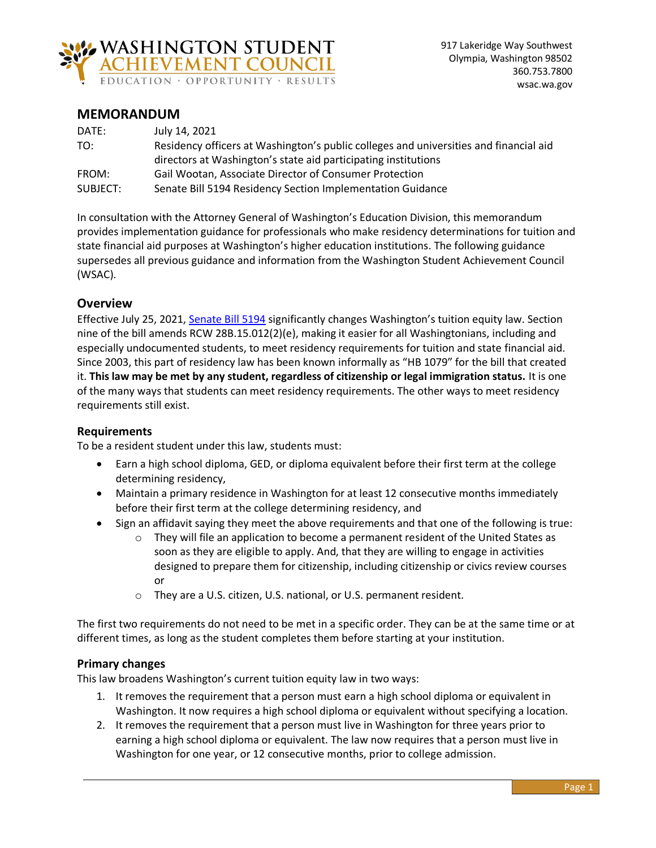

# **MEMORANDUM**

| DATE:    | July 14, 2021                                                                         |
|----------|---------------------------------------------------------------------------------------|
| TO:      | Residency officers at Washington's public colleges and universities and financial aid |
|          | directors at Washington's state aid participating institutions                        |
| FROM:    | Gail Wootan, Associate Director of Consumer Protection                                |
| SUBJECT: | Senate Bill 5194 Residency Section Implementation Guidance                            |

In consultation with the Attorney General of Washington's Education Division, this memorandum provides implementation guidance for professionals who make residency determinations for tuition and state financial aid purposes at Washington's higher education institutions. The following guidance supersedes all previous guidance and information from the Washington Student Achievement Council (WSAC).

# **Overview**

Effective July 25, 2021, [Senate Bill 5194](http://lawfilesext.leg.wa.gov/biennium/2021-22/Pdf/Bills/Session%20Laws/Senate/5194-S2.SL.pdf?q=20210709094006) significantly changes Washington's tuition equity law. Section nine of the bill amends RCW 28B.15.012(2)(e), making it easier for all Washingtonians, including and especially undocumented students, to meet residency requirements for tuition and state financial aid. Since 2003, this part of residency law has been known informally as "HB 1079" for the bill that created it. **This law may be met by any student, regardless of citizenship or legal immigration status.** It is one of the many ways that students can meet residency requirements. The other ways to meet residency requirements still exist.

### **Requirements**

To be a resident student under this law, students must:

- Earn a high school diploma, GED, or diploma equivalent before their first term at the college determining residency,
- Maintain a primary residence in Washington for at least 12 consecutive months immediately before their first term at the college determining residency, and
- Sign an affidavit saying they meet the above requirements and that one of the following is true:
	- $\circ$  They will file an application to become a permanent resident of the United States as soon as they are eligible to apply. And, that they are willing to engage in activities designed to prepare them for citizenship, including citizenship or civics review courses or
	- o They are a U.S. citizen, U.S. national, or U.S. permanent resident.

The first two requirements do not need to be met in a specific order. They can be at the same time or at different times, as long as the student completes them before starting at your institution.

### **Primary changes**

This law broadens Washington's current tuition equity law in two ways:

- 1. It removes the requirement that a person must earn a high school diploma or equivalent in Washington. It now requires a high school diploma or equivalent without specifying a location.
- 2. It removes the requirement that a person must live in Washington for three years prior to earning a high school diploma or equivalent. The law now requires that a person must live in Washington for one year, or 12 consecutive months, prior to college admission.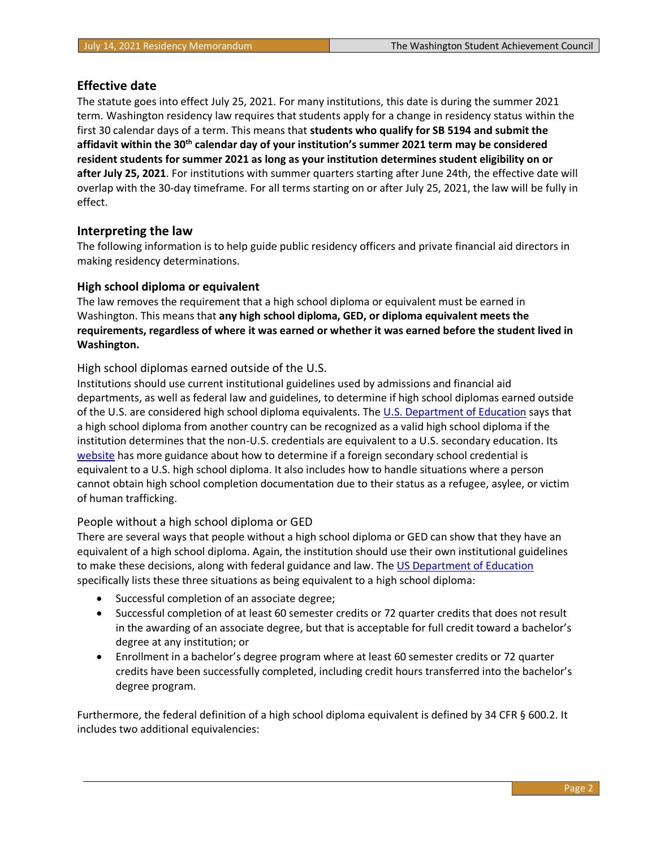# **Effective date**

The statute goes into effect July 25, 2021. For many institutions, this date is during the summer 2021 term. Washington residency law requires that students apply for a change in residency status within the first 30 calendar days of a term. This means that **students who qualify for SB 5194 and submit the affidavit within the 30th calendar day of your institution's summer 2021 term may be considered resident students for summer 2021 as long as your institution determines student eligibility on or after July 25, 2021**. For institutions with summer quarters starting after June 24th, the effective date will overlap with the 30-day timeframe. For all terms starting on or after July 25, 2021, the law will be fully in effect.

# **Interpreting the law**

The following information is to help guide public residency officers and private financial aid directors in making residency determinations.

### **High school diploma or equivalent**

The law removes the requirement that a high school diploma or equivalent must be earned in Washington. This means that **any high school diploma, GED, or diploma equivalent meets the requirements, regardless of where it was earned or whether it was earned before the student lived in Washington.**

# High school diplomas earned outside of the U.S.

Institutions should use current institutional guidelines used by admissions and financial aid departments, as well as federal law and guidelines, to determine if high school diplomas earned outside of the U.S. are considered high school diploma equivalents. The [U.S. Department of Education](https://www2.ed.gov/policy/highered/reg/hearulemaking/2009/hsdiploma.html#fhd) says that a high school diploma from another country can be recognized as a valid high school diploma if the institution determines that the non-U.S. credentials are equivalent to a U.S. secondary education. Its [website](https://www2.ed.gov/policy/highered/reg/hearulemaking/2009/hsdiploma.html#fhd) has more guidance about how to determine if a foreign secondary school credential is equivalent to a U.S. high school diploma. It also includes how to handle situations where a person cannot obtain high school completion documentation due to their status as a refugee, asylee, or victim of human trafficking.

### People without a high school diploma or GED

There are several ways that people without a high school diploma or GED can show that they have an equivalent of a high school diploma. Again, the institution should use their own institutional guidelines to make these decisions, along with federal guidance and law. The [US Department of Education](https://www2.ed.gov/policy/highered/reg/hearulemaking/2009/hsdiploma.html) specifically lists these three situations as being equivalent to a high school diploma:

- Successful completion of an associate degree;
- Successful completion of at least 60 semester credits or 72 quarter credits that does not result in the awarding of an associate degree, but that is acceptable for full credit toward a bachelor's degree at any institution; or
- Enrollment in a bachelor's degree program where at least 60 semester credits or 72 quarter credits have been successfully completed, including credit hours transferred into the bachelor's degree program.

Furthermore, the federal definition of a high school diploma equivalent is defined by 34 CFR § 600.2. It includes two additional equivalencies: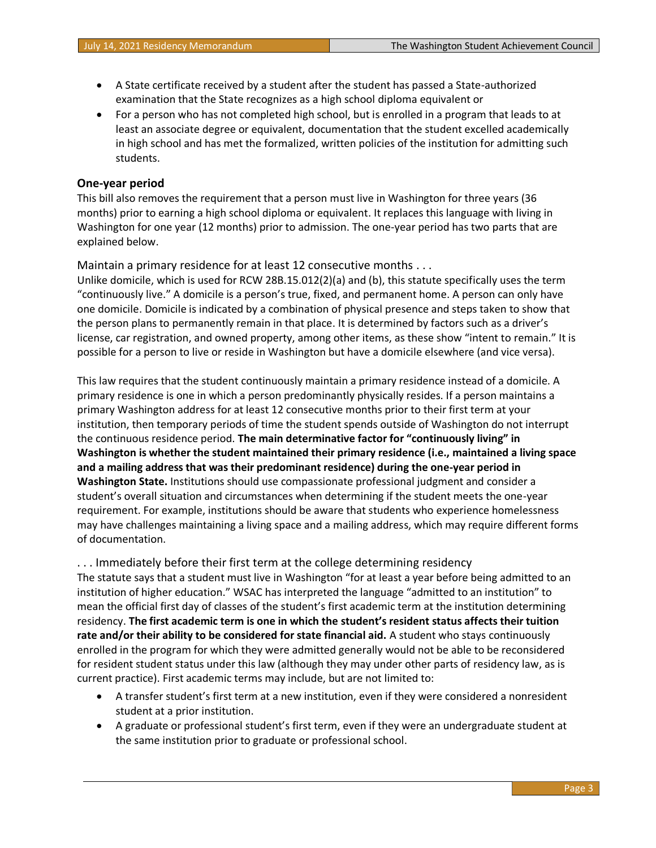- A State certificate received by a student after the student has passed a State-authorized examination that the State recognizes as a high school diploma equivalent or
- For a person who has not completed high school, but is enrolled in a program that leads to at least an associate degree or equivalent, documentation that the student excelled academically in high school and has met the formalized, written policies of the institution for admitting such students.

### **One-year period**

This bill also removes the requirement that a person must live in Washington for three years (36 months) prior to earning a high school diploma or equivalent. It replaces this language with living in Washington for one year (12 months) prior to admission. The one-year period has two parts that are explained below.

Maintain a primary residence for at least 12 consecutive months . . .

Unlike domicile, which is used for RCW 28B.15.012(2)(a) and (b), this statute specifically uses the term "continuously live." A domicile is a person's true, fixed, and permanent home. A person can only have one domicile. Domicile is indicated by a combination of physical presence and steps taken to show that the person plans to permanently remain in that place. It is determined by factors such as a driver's license, car registration, and owned property, among other items, as these show "intent to remain." It is possible for a person to live or reside in Washington but have a domicile elsewhere (and vice versa).

This law requires that the student continuously maintain a primary residence instead of a domicile. A primary residence is one in which a person predominantly physically resides. If a person maintains a primary Washington address for at least 12 consecutive months prior to their first term at your institution, then temporary periods of time the student spends outside of Washington do not interrupt the continuous residence period. **The main determinative factor for "continuously living" in Washington is whether the student maintained their primary residence (i.e., maintained a living space and a mailing address that was their predominant residence) during the one-year period in Washington State.** Institutions should use compassionate professional judgment and consider a student's overall situation and circumstances when determining if the student meets the one-year requirement. For example, institutions should be aware that students who experience homelessness may have challenges maintaining a living space and a mailing address, which may require different forms of documentation.

. . . Immediately before their first term at the college determining residency The statute says that a student must live in Washington "for at least a year before being admitted to an institution of higher education." WSAC has interpreted the language "admitted to an institution" to mean the official first day of classes of the student's first academic term at the institution determining residency. **The first academic term is one in which the student's resident status affects their tuition rate and/or their ability to be considered for state financial aid.** A student who stays continuously enrolled in the program for which they were admitted generally would not be able to be reconsidered for resident student status under this law (although they may under other parts of residency law, as is current practice). First academic terms may include, but are not limited to:

- A transfer student's first term at a new institution, even if they were considered a nonresident student at a prior institution.
- A graduate or professional student's first term, even if they were an undergraduate student at the same institution prior to graduate or professional school.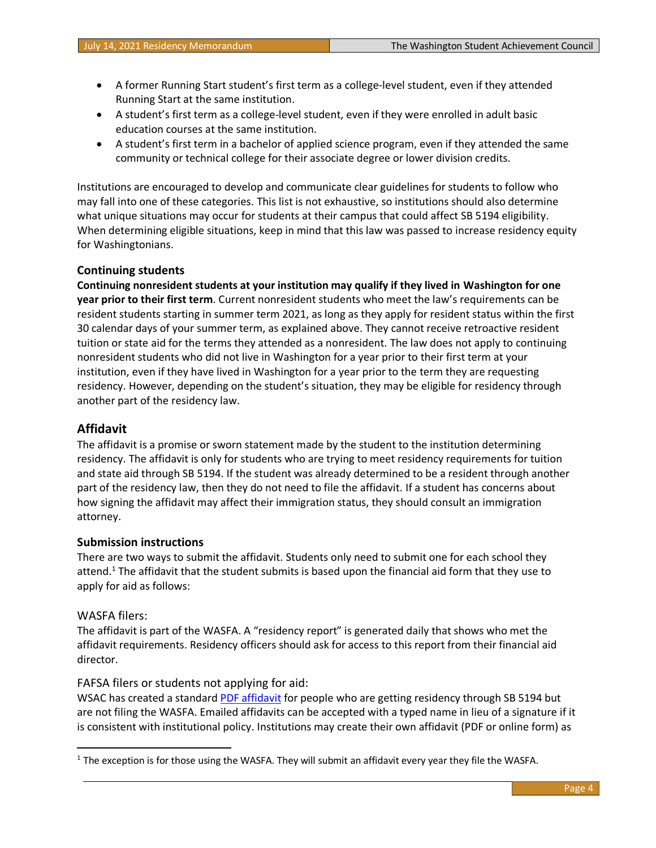- A former Running Start student's first term as a college-level student, even if they attended Running Start at the same institution.
- A student's first term as a college-level student, even if they were enrolled in adult basic education courses at the same institution.
- A student's first term in a bachelor of applied science program, even if they attended the same community or technical college for their associate degree or lower division credits.

Institutions are encouraged to develop and communicate clear guidelines for students to follow who may fall into one of these categories. This list is not exhaustive, so institutions should also determine what unique situations may occur for students at their campus that could affect SB 5194 eligibility. When determining eligible situations, keep in mind that this law was passed to increase residency equity for Washingtonians.

### **Continuing students**

**Continuing nonresident students at your institution may qualify if they lived in Washington for one year prior to their first term**. Current nonresident students who meet the law's requirements can be resident students starting in summer term 2021, as long as they apply for resident status within the first 30 calendar days of your summer term, as explained above. They cannot receive retroactive resident tuition or state aid for the terms they attended as a nonresident. The law does not apply to continuing nonresident students who did not live in Washington for a year prior to their first term at your institution, even if they have lived in Washington for a year prior to the term they are requesting residency. However, depending on the student's situation, they may be eligible for residency through another part of the residency law.

# **Affidavit**

The affidavit is a promise or sworn statement made by the student to the institution determining residency. The affidavit is only for students who are trying to meet residency requirements for tuition and state aid through SB 5194. If the student was already determined to be a resident through another part of the residency law, then they do not need to file the affidavit. If a student has concerns about how signing the affidavit may affect their immigration status, they should consult an immigration attorney.

### **Submission instructions**

There are two ways to submit the affidavit. Students only need to submit one for each school they attend.<sup>1</sup> The affidavit that the student submits is based upon the financial aid form that they use to apply for aid as follows:

### WASFA filers:

The affidavit is part of the WASFA. A "residency report" is generated daily that shows who met the affidavit requirements. Residency officers should ask for access to this report from their financial aid director.

### FAFSA filers or students not applying for aid:

WSAC has created a standard [PDF affidavit](https://wsac.wa.gov/student-residency) for people who are getting residency through SB 5194 but are not filing the WASFA. Emailed affidavits can be accepted with a typed name in lieu of a signature if it is consistent with institutional policy. Institutions may create their own affidavit (PDF or online form) as

 $1$  The exception is for those using the WASFA. They will submit an affidavit every year they file the WASFA.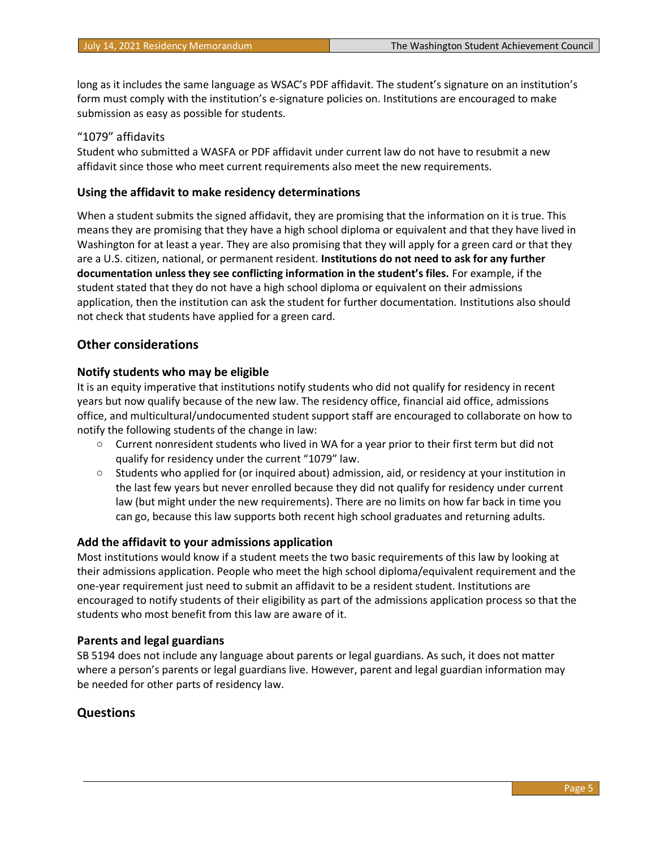long as it includes the same language as WSAC's PDF affidavit. The student's signature on an institution's form must comply with the institution's e-signature policies on. Institutions are encouraged to make submission as easy as possible for students.

#### "1079" affidavits

Student who submitted a WASFA or PDF affidavit under current law do not have to resubmit a new affidavit since those who meet current requirements also meet the new requirements.

#### **Using the affidavit to make residency determinations**

When a student submits the signed affidavit, they are promising that the information on it is true. This means they are promising that they have a high school diploma or equivalent and that they have lived in Washington for at least a year. They are also promising that they will apply for a green card or that they are a U.S. citizen, national, or permanent resident. **Institutions do not need to ask for any further documentation unless they see conflicting information in the student's files.** For example, if the student stated that they do not have a high school diploma or equivalent on their admissions application, then the institution can ask the student for further documentation. Institutions also should not check that students have applied for a green card.

#### **Other considerations**

#### **Notify students who may be eligible**

It is an equity imperative that institutions notify students who did not qualify for residency in recent years but now qualify because of the new law. The residency office, financial aid office, admissions office, and multicultural/undocumented student support staff are encouraged to collaborate on how to notify the following students of the change in law:

- $\circ$  Current nonresident students who lived in WA for a year prior to their first term but did not qualify for residency under the current "1079" law.
- o Students who applied for (or inquired about) admission, aid, or residency at your institution in the last few years but never enrolled because they did not qualify for residency under current law (but might under the new requirements). There are no limits on how far back in time you can go, because this law supports both recent high school graduates and returning adults.

#### **Add the affidavit to your admissions application**

Most institutions would know if a student meets the two basic requirements of this law by looking at their admissions application. People who meet the high school diploma/equivalent requirement and the one-year requirement just need to submit an affidavit to be a resident student. Institutions are encouraged to notify students of their eligibility as part of the admissions application process so that the students who most benefit from this law are aware of it.

#### **Parents and legal guardians**

SB 5194 does not include any language about parents or legal guardians. As such, it does not matter where a person's parents or legal guardians live. However, parent and legal guardian information may be needed for other parts of residency law.

### **Questions**